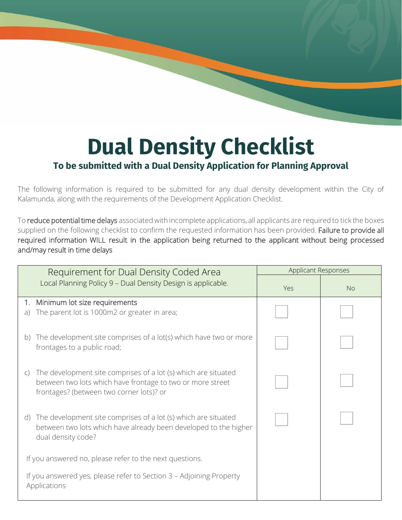## **Dual Density Checklist**

## **To be submitted with a Dual Density Application for Planning Approval**

The following information is required to be submitted for any dual density development within the City of Kalamunda, along with the requirements of the Development Application Checklist.

To reduce potential time delays associated with incomplete applications, all applicants are required to tick the boxes supplied on the following checklist to confirm the requested information has been provided. Failure to provide all required information WILL result in the application being returned to the applicant without being processed and/may result in time delays

| Requirement for Dual Density Coded Area                                                                                                                                                  | Applicant Responses |           |
|------------------------------------------------------------------------------------------------------------------------------------------------------------------------------------------|---------------------|-----------|
| Local Planning Policy 9 - Dual Density Design is applicable.                                                                                                                             | Yes                 | <b>No</b> |
| 1. Minimum lot size requirements                                                                                                                                                         |                     |           |
| The parent lot is 1000m2 or greater in area;<br>a)                                                                                                                                       |                     |           |
| The development site comprises of a lot(s) which have two or more<br>$\mathsf{b}$<br>frontages to a public road;                                                                         |                     |           |
| The development site comprises of a lot (s) which are situated<br>$\mathsf{C}$<br>between two lots which have frontage to two or more street<br>frontages? (between two corner lots)? or |                     |           |
| The development site comprises of a lot (s) which are situated<br>d)<br>between two lots which have already been developed to the higher<br>dual density code?                           |                     |           |
| If you answered no, please refer to the next questions.                                                                                                                                  |                     |           |
| If you answered yes, please refer to Section 3 - Adjoining Property<br>Applications                                                                                                      |                     |           |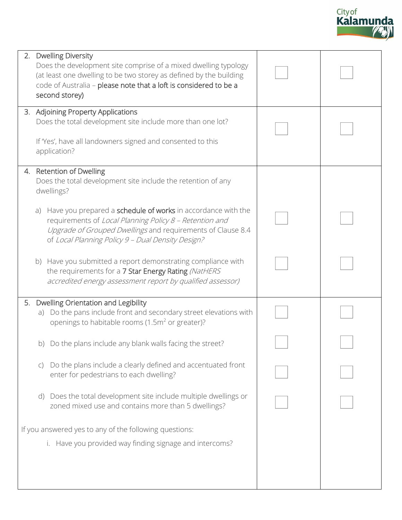

| 2.                                                     | <b>Dwelling Diversity</b><br>Does the development site comprise of a mixed dwelling typology<br>(at least one dwelling to be two storey as defined by the building<br>code of Australia - please note that a loft is considered to be a<br>second storey) |  |
|--------------------------------------------------------|-----------------------------------------------------------------------------------------------------------------------------------------------------------------------------------------------------------------------------------------------------------|--|
|                                                        | 3. Adjoining Property Applications<br>Does the total development site include more than one lot?<br>If 'Yes', have all landowners signed and consented to this<br>application?                                                                            |  |
|                                                        | 4. Retention of Dwelling<br>Does the total development site include the retention of any<br>dwellings?                                                                                                                                                    |  |
|                                                        | Have you prepared a schedule of works in accordance with the<br>a)<br>requirements of Local Planning Policy 8 - Retention and<br>Upgrade of Grouped Dwellings and requirements of Clause 8.4<br>of Local Planning Policy 9 - Dual Density Design?         |  |
|                                                        | b) Have you submitted a report demonstrating compliance with<br>the requirements for a 7 Star Energy Rating (NatHERS<br>accredited energy assessment report by qualified assessor)                                                                        |  |
| 5.                                                     | Dwelling Orientation and Legibility<br>a) Do the pans include front and secondary street elevations with<br>openings to habitable rooms (1.5m <sup>2</sup> or greater)?                                                                                   |  |
|                                                        | b) Do the plans include any blank walls facing the street?                                                                                                                                                                                                |  |
|                                                        | Do the plans include a clearly defined and accentuated front<br>$\mathsf{C}$<br>enter for pedestrians to each dwelling?                                                                                                                                   |  |
|                                                        | Does the total development site include multiple dwellings or<br>(d)<br>zoned mixed use and contains more than 5 dwellings?                                                                                                                               |  |
| If you answered yes to any of the following questions: |                                                                                                                                                                                                                                                           |  |
|                                                        | i. Have you provided way finding signage and intercoms?                                                                                                                                                                                                   |  |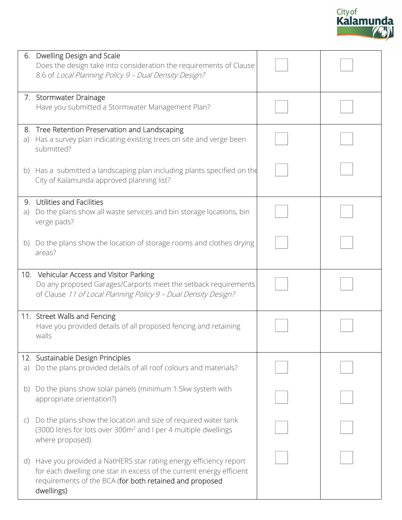|     |                                                                                                                                                                                                                   | City of<br>Kalamunda |  |
|-----|-------------------------------------------------------------------------------------------------------------------------------------------------------------------------------------------------------------------|----------------------|--|
|     | 6. Dwelling Design and Scale<br>Does the design take into consideration the requirements of Clause<br>8.6 of Local Planning Policy 9 - Dual Density Design?                                                       |                      |  |
|     | 7. Stormwater Drainage<br>Have you submitted a Stormwater Management Plan?                                                                                                                                        |                      |  |
| a)  | 8. Tree Retention Preservation and Landscaping<br>Has a survey plan indicating existing trees on site and verge been<br>submitted?                                                                                |                      |  |
|     | b) Has a submitted a landscaping plan including plants specified on the<br>City of Kalamunda approved planning list?                                                                                              |                      |  |
| a)  | 9. Utilities and Facilities<br>Do the plans show all waste services and bin storage locations, bin<br>verge pads?                                                                                                 |                      |  |
| b)  | Do the plans show the location of storage rooms and clothes drying<br>areas?                                                                                                                                      |                      |  |
|     | 10. Vehicular Access and Visitor Parking<br>Do any proposed Garages/Carports meet the setback requirements<br>of Clause 11 of Local Planning Policy 9 - Dual Density Design?                                      |                      |  |
|     | 11. Street Walls and Fencing<br>Have you provided details of all proposed fencing and retaining<br>walls                                                                                                          |                      |  |
| a)  | 12. Sustainable Design Principles<br>Do the plans provided details of all roof colours and materials?                                                                                                             |                      |  |
| D)  | Do the plans show solar panels (minimum 1.5kw system with<br>appropriate orientation?)                                                                                                                            |                      |  |
| C)  | Do the plans show the location and size of required water tank<br>(3000 litres for lots over 300m <sup>2</sup> and I per 4 multiple dwellings<br>where proposed).                                                 |                      |  |
| (d) | Have you provided a NatHERS star rating energy efficiency report<br>for each dwelling one star in excess of the current energy efficient<br>requirements of the BCA (for both retained and proposed<br>dwellings) |                      |  |